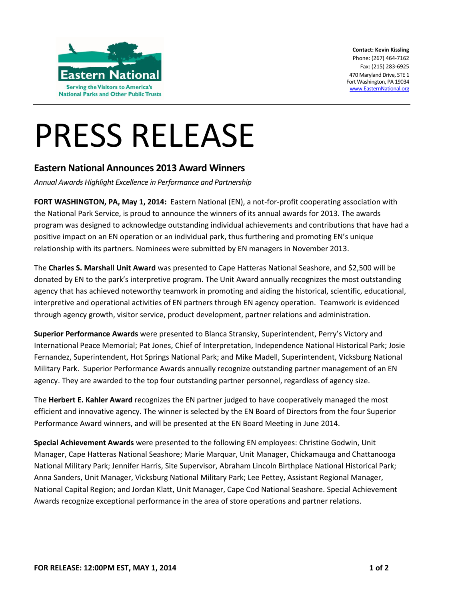

**Contact: Kevin Kissling** Phone: (267) 464-7162 Fax: (215) 283-6925 470 Maryland Drive, STE 1 Fort Washington, PA 19034 [www.EasternNational.org](http://www.easternnational.org/)

## PRESS RELEASE

## **Eastern National Announces 2013 Award Winners**

*Annual Awards Highlight Excellence in Performance and Partnership*

**FORT WASHINGTON, PA, May 1, 2014:** Eastern National (EN), a not-for-profit cooperating association with the National Park Service, is proud to announce the winners of its annual awards for 2013. The awards program was designed to acknowledge outstanding individual achievements and contributions that have had a positive impact on an EN operation or an individual park, thus furthering and promoting EN's unique relationship with its partners. Nominees were submitted by EN managers in November 2013.

The **Charles S. Marshall Unit Award** was presented to Cape Hatteras National Seashore, and \$2,500 will be donated by EN to the park's interpretive program. The Unit Award annually recognizes the most outstanding agency that has achieved noteworthy teamwork in promoting and aiding the historical, scientific, educational, interpretive and operational activities of EN partners through EN agency operation. Teamwork is evidenced through agency growth, visitor service, product development, partner relations and administration.

**Superior Performance Awards** were presented to Blanca Stransky, Superintendent, Perry's Victory and International Peace Memorial; Pat Jones, Chief of Interpretation, Independence National Historical Park; Josie Fernandez, Superintendent, Hot Springs National Park; and Mike Madell, Superintendent, Vicksburg National Military Park. Superior Performance Awards annually recognize outstanding partner management of an EN agency. They are awarded to the top four outstanding partner personnel, regardless of agency size.

The **Herbert E. Kahler Award** recognizes the EN partner judged to have cooperatively managed the most efficient and innovative agency. The winner is selected by the EN Board of Directors from the four Superior Performance Award winners, and will be presented at the EN Board Meeting in June 2014.

**Special Achievement Awards** were presented to the following EN employees: Christine Godwin, Unit Manager, Cape Hatteras National Seashore; Marie Marquar, Unit Manager, Chickamauga and Chattanooga National Military Park; Jennifer Harris, Site Supervisor, Abraham Lincoln Birthplace National Historical Park; Anna Sanders, Unit Manager, Vicksburg National Military Park; Lee Pettey, Assistant Regional Manager, National Capital Region; and Jordan Klatt, Unit Manager, Cape Cod National Seashore. Special Achievement Awards recognize exceptional performance in the area of store operations and partner relations.